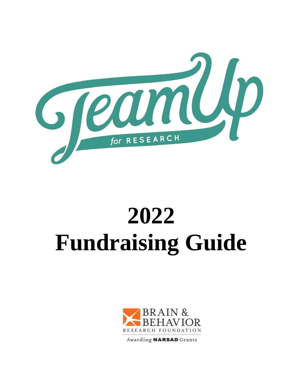

# **2022 Fundraising Guide**



Awarding **NARSAD** Grants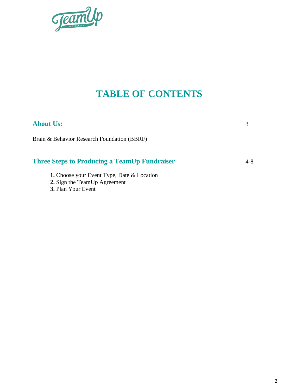

# **TABLE OF CONTENTS**

| <b>About Us:</b>                                    | 3       |
|-----------------------------------------------------|---------|
| Brain & Behavior Research Foundation (BBRF)         |         |
| <b>Three Steps to Producing a TeamUp Fundraiser</b> | $4 - 8$ |
| <b>1.</b> Choose your Event Type, Date & Location   |         |
| 2. Sign the TeamUp Agreement                        |         |
| <b>3. Plan Your Event</b>                           |         |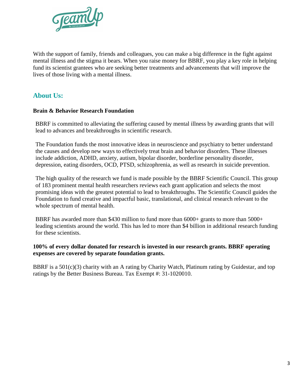

With the support of family, friends and colleagues, you can make a big difference in the fight against mental illness and the stigma it bears. When you raise money for BBRF, you play a key role in helping fund its scientist grantees who are seeking better treatments and advancements that will improve the lives of those living with a mental illness.

## **About Us:**

## **Brain & Behavior Research Foundation**

BBRF is committed to alleviating the suffering caused by mental illness by awarding grants that will lead to advances and breakthroughs in scientific research.

The Foundation funds the most innovative ideas in neuroscience and psychiatry to better understand the causes and develop new ways to effectively treat brain and behavior disorders. These illnesses include addiction, ADHD, anxiety, autism, bipolar disorder, borderline personality disorder, depression, eating disorders, OCD, PTSD, schizophrenia, as well as research in suicide prevention.

The high quality of the research we fund is made possible by the BBRF Scientific Council. This group of 183 prominent mental health researchers reviews each grant application and selects the most promising ideas with the greatest potential to lead to breakthroughs. The Scientific Council guides the Foundation to fund creative and impactful basic, translational, and clinical research relevant to the whole spectrum of mental health.

BBRF has awarded more than \$430 million to fund more than 6000+ grants to more than 5000+ leading scientists around the world. This has led to more than \$4 billion in additional research funding for these scientists.

## **100% of every dollar donated for research is invested in our research grants. BBRF operating expenses are covered by separate foundation grants.**

BBRF is a 501(c)(3) charity with an A rating by Charity Watch, Platinum rating by Guidestar, and top ratings by the Better Business Bureau. Tax Exempt #: 31-1020010.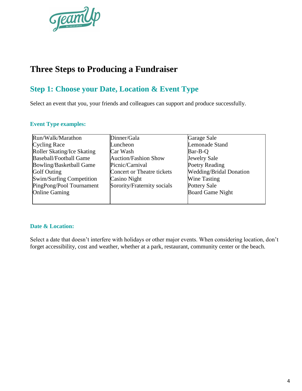

# **Three Steps to Producing a Fundraiser**

# **Step 1: Choose your Date, Location & Event Type**

Select an event that you, your friends and colleagues can support and produce successfully.

## **Event Type examples:**

| Run/Walk/Marathon             | Dinner/Gala                 | Garage Sale                    |
|-------------------------------|-----------------------------|--------------------------------|
| <b>Cycling Race</b>           | Luncheon                    | <b>Lemonade Stand</b>          |
| Roller Skating/Ice Skating    | Car Wash                    | Bar-B-Q                        |
| <b>Baseball/Football Game</b> | <b>Auction/Fashion Show</b> | <b>Jewelry Sale</b>            |
| Bowling/Basketball Game       | Picnic/Carnival             | Poetry Reading                 |
| Golf Outing                   | Concert or Theatre tickets  | <b>Wedding/Bridal Donation</b> |
| Swim/Surfing Competition      | Casino Night                | <b>Wine Tasting</b>            |
| PingPong/Pool Tournament      | Sorority/Fraternity socials | <b>Pottery Sale</b>            |
| <b>Online Gaming</b>          |                             | <b>Board Game Night</b>        |
|                               |                             |                                |

## **Date & Location:**

Select a date that doesn't interfere with holidays or other major events. When considering location, don't forget accessibility, cost and weather, whether at a park, restaurant, community center or the beach.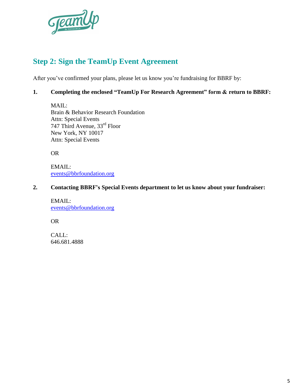

# **Step 2: Sign the TeamUp Event Agreement**

After you've confirmed your plans, please let us know you're fundraising for BBRF by:

## **1. Completing the enclosed "TeamUp For Research Agreement" form & return to BBRF:**

MAIL: Brain & Behavior Research Foundation Attn: Special Events 747 Third Avenue, 33rd Floor New York, NY 10017 Attn: Special Events

OR

EMAIL: [events@bbrfoundation.org](mailto:events@bbrfoundation.org)

## **2. Contacting BBRF's Special Events department to let us know about your fundraiser:**

[EMAIL:](mailto:events@bbrfoundation.org) [events@bbrfoundation.org](mailto:events@bbrfoundation.org)

OR

CALL: 646.681.4888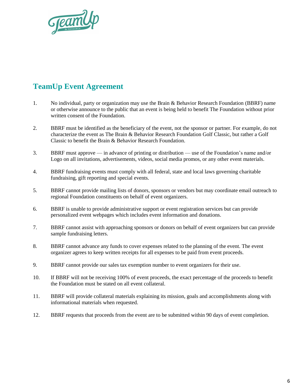

# **TeamUp Event Agreement**

- 1. No individual, party or organization may use the Brain & Behavior Research Foundation (BBRF) name or otherwise announce to the public that an event is being held to benefit The Foundation without prior written consent of the Foundation.
- 2. BBRF must be identified as the beneficiary of the event, not the sponsor or partner. For example, do not characterize the event as The Brain & Behavior Research Foundation Golf Classic, but rather a Golf Classic to benefit the Brain & Behavior Research Foundation.
- 3. BBRF must approve in advance of printing or distribution use of the Foundation's name and/or Logo on all invitations, advertisements, videos, social media promos, or any other event materials.
- 4. BBRF fundraising events must comply with all federal, state and local laws governing charitable fundraising, gift reporting and special events.
- 5. BBRF cannot provide mailing lists of donors, sponsors or vendors but may coordinate email outreach to regional Foundation constituents on behalf of event organizers.
- 6. BBRF is unable to provide administrative support or event registration services but can provide personalized event webpages which includes event information and donations.
- 7. BBRF cannot assist with approaching sponsors or donors on behalf of event organizers but can provide sample fundraising letters.
- 8. BBRF cannot advance any funds to cover expenses related to the planning of the event. The event organizer agrees to keep written receipts for all expenses to be paid from event proceeds.
- 9. BBRF cannot provide our sales tax exemption number to event organizers for their use.
- 10. If BBRF will not be receiving 100% of event proceeds, the exact percentage of the proceeds to benefit the Foundation must be stated on all event collateral.
- 11. BBRF will provide collateral materials explaining its mission, goals and accomplishments along with informational materials when requested.
- 12. BBRF requests that proceeds from the event are to be submitted within 90 days of event completion.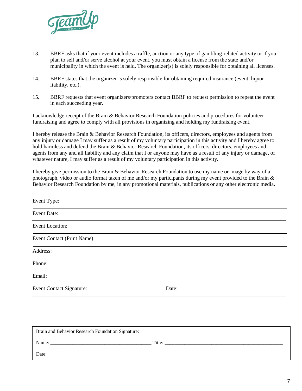

- 13. BBRF asks that if your event includes a raffle, auction or any type of gambling-related activity or if you plan to sell and/or serve alcohol at your event, you must obtain a license from the state and/or municipality in which the event is held. The organizer(s) is solely responsible for obtaining all licenses.
- 14. BBRF states that the organizer is solely responsible for obtaining required insurance (event, liquor liability, etc.).
- 15. BBRF requests that event organizers/promoters contact BBRF to request permission to repeat the event in each succeeding year.

I acknowledge receipt of the Brain & Behavior Research Foundation policies and procedures for volunteer fundraising and agree to comply with all provisions in organizing and holding my fundraising event.

I hereby release the Brain & Behavior Research Foundation, its officers, directors, employees and agents from any injury or damage I may suffer as a result of my voluntary participation in this activity and I hereby agree to hold harmless and defend the Brain & Behavior Research Foundation, its officers, directors, employees and agents from any and all liability and any claim that I or anyone may have as a result of any injury or damage, of whatever nature, I may suffer as a result of my voluntary participation in this activity.

I hereby give permission to the Brain & Behavior Research Foundation to use my name or image by way of a photograph, video or audio format taken of me and/or my participants during my event provided to the Brain & Behavior Research Foundation by me, in any promotional materials, publications or any other electronic media.

| Event Type:                     |       |
|---------------------------------|-------|
| <b>Event Date:</b>              |       |
| <b>Event Location:</b>          |       |
| Event Contact (Print Name):     |       |
| Address:                        |       |
| Phone:                          |       |
| Email:                          |       |
| <b>Event Contact Signature:</b> | Date: |

| Brain and Behavior Research Foundation Signature: |        |
|---------------------------------------------------|--------|
| Name:                                             | Title: |
| Date:                                             |        |